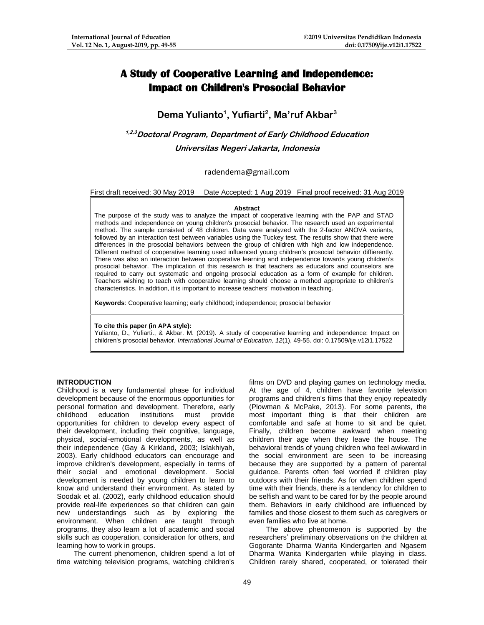# **A Study of Cooperative Learning and Independence: Impact on Children's Prosocial Behavior**

## **Dema Yulianto<sup>1</sup> , Yufiarti<sup>2</sup> , Ma'ruf Akbar<sup>3</sup>**

## **1,2,3Doctoral Program, Department of Early Childhood Education Universitas Negeri Jakarta, Indonesia**

## radendema@gmail.com

First draft received: 30 May 2019 Date Accepted: 1 Aug 2019 Final proof received: 31 Aug 2019

#### **Abstract**

The purpose of the study was to analyze the impact of cooperative learning with the PAP and STAD methods and independence on young children's prosocial behavior. The research used an experimental method. The sample consisted of 48 children. Data were analyzed with the 2-factor ANOVA variants, followed by an interaction test between variables using the Tuckey test. The results show that there were differences in the prosocial behaviors between the group of children with high and low independence. Different method of cooperative learning used influenced young children's prosocial behavior diffierently. There was also an interaction between cooperative learning and independence towards young children's prosocial behavior. The implication of this research is that teachers as educators and counselors are required to carry out systematic and ongoing prosocial education as a form of example for children. Teachers wishing to teach with cooperative learning should choose a method appropriate to children's characteristics. In addition, it is important to increase teachers' motivation in teaching.

**Keywords**: Cooperative learning; early childhood; independence; prosocial behavior

#### **To cite this paper (in APA style):**

Yulianto, D., Yufiarti., & Akbar. M. (2019). A study of cooperative learning and independence: Impact on children's prosocial behavior. *International Journal of Education, 12*(1), 49-55. doi: 0.17509/ije.v12i1.17522

#### **INTRODUCTION**

Childhood is a very fundamental phase for individual development because of the enormous opportunities for personal formation and development. Therefore, early childhood education institutions must provide opportunities for children to develop every aspect of their development, including their cognitive, language, physical, social-emotional developments, as well as their independence (Gay & Kirkland, 2003; Islakhiyah, 2003). Early childhood educators can encourage and improve children's development, especially in terms of their social and emotional development. Social development is needed by young children to learn to know and understand their environment. As stated by Soodak et al. (2002), early childhood education should provide real-life experiences so that children can gain new understandings such as by exploring the environment. When children are taught through programs, they also learn a lot of academic and social skills such as cooperation, consideration for others, and learning how to work in groups.

The current phenomenon, children spend a lot of time watching television programs, watching children's

films on DVD and playing games on technology media. At the age of 4, children have favorite television programs and children's films that they enjoy repeatedly (Plowman & McPake, 2013). For some parents, the most important thing is that their children are comfortable and safe at home to sit and be quiet. Finally, children become awkward when meeting children their age when they leave the house. The behavioral trends of young children who feel awkward in the social environment are seen to be increasing because they are supported by a pattern of parental guidance. Parents often feel worried if children play outdoors with their friends. As for when children spend time with their friends, there is a tendency for children to be selfish and want to be cared for by the people around them. Behaviors in early childhood are influenced by families and those closest to them such as caregivers or even families who live at home.

The above phenomenon is supported by the researchers' preliminary observations on the children at Gogorante Dharma Wanita Kindergarten and Ngasem Dharma Wanita Kindergarten while playing in class. Children rarely shared, cooperated, or tolerated their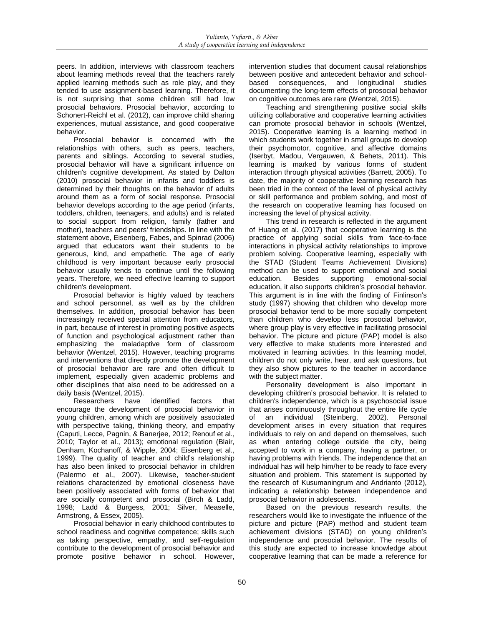peers. In addition, interviews with classroom teachers about learning methods reveal that the teachers rarely applied learning methods such as role play, and they tended to use assignment-based learning. Therefore, it is not surprising that some children still had low prosocial behaviors. Prosocial behavior, according to Schonert-Reichl et al. (2012), can improve child sharing experiences, mutual assistance, and good cooperative behavior.

Prosocial behavior is concerned with the relationships with others, such as peers, teachers, parents and siblings. According to several studies, prosocial behavior will have a significant influence on children's cognitive development. As stated by Dalton (2010) prosocial behavior in infants and toddlers is determined by their thoughts on the behavior of adults around them as a form of social response. Prosocial behavior develops according to the age period (infants, toddlers, children, teenagers, and adults) and is related to social support from religion, family (father and mother), teachers and peers' friendships. In line with the statement above, Eisenberg, Fabes, and Spinrad (2006) argued that educators want their students to be generous, kind, and empathetic. The age of early childhood is very important because early prosocial behavior usually tends to continue until the following years. Therefore, we need effective learning to support children's development.

Prosocial behavior is highly valued by teachers and school personnel, as well as by the children themselves. In addition, prosocial behavior has been increasingly received special attention from educators, in part, because of interest in promoting positive aspects of function and psychological adjustment rather than emphasizing the maladaptive form of classroom behavior (Wentzel, 2015). However, teaching programs and interventions that directly promote the development of prosocial behavior are rare and often difficult to implement, especially given academic problems and other disciplines that also need to be addressed on a daily basis (Wentzel, 2015).

Researchers have identified factors that encourage the development of prosocial behavior in young children, among which are positively associated with perspective taking, thinking theory, and empathy (Caputi, Lecce, Pagnin, & Banerjee, 2012; Renouf et al., 2010; Taylor et al., 2013); emotional regulation (Blair, Denham, Kochanoff, & Wipple, 2004; Eisenberg et al., 1999). The quality of teacher and child's relationship has also been linked to prosocial behavior in children (Palermo et al., 2007). Likewise, teacher-student relations characterized by emotional closeness have been positively associated with forms of behavior that are socially competent and prosocial (Birch & Ladd, 1998; Ladd & Burgess, 2001; Silver, Measelle, Armstrong, & Essex, 2005).

Prosocial behavior in early childhood contributes to school readiness and cognitive competence; skills such as taking perspective, empathy, and self-regulation contribute to the development of prosocial behavior and promote positive behavior in school. However,

intervention studies that document causal relationships between positive and antecedent behavior and schoolbased consequences, and longitudinal studies documenting the long-term effects of prosocial behavior on cognitive outcomes are rare (Wentzel, 2015).

Teaching and strengthening positive social skills utilizing collaborative and cooperative learning activities can promote prosocial behavior in schools (Wentzel, 2015). Cooperative learning is a learning method in which students work together in small groups to develop their psychomotor, cognitive, and affective domains (Iserbyt, Madou, Vergauwen, & Behets, 2011). This learning is marked by various forms of student interaction through physical activities (Barrett, 2005). To date, the majority of cooperative learning research has been tried in the context of the level of physical activity or skill performance and problem solving, and most of the research on cooperative learning has focused on increasing the level of physical activity.

This trend in research is reflected in the argument of Huang et al. (2017) that cooperative learning is the practice of applying social skills from face-to-face interactions in physical activity relationships to improve problem solving. Cooperative learning, especially with the STAD (Student Teams Achievement Divisions) method can be used to support emotional and social education. Besides supporting emotional-social education, it also supports children's prosocial behavior. This argument is in line with the finding of Finlinson's study (1997) showing that children who develop more prosocial behavior tend to be more socially competent than children who develop less prosocial behavior, where group play is very effective in facilitating prosocial behavior. The picture and picture (PAP) model is also very effective to make students more interested and motivated in learning activities. In this learning model, children do not only write, hear, and ask questions, but they also show pictures to the teacher in accordance with the subject matter.

Personality development is also important in developing children's prosocial behavior. It is related to children's independence, which is a psychosocial issue that arises continuously throughout the entire life cycle<br>of an individual (Steinberg, 2002). Personal (Steinberg, 2002). Personal development arises in every situation that requires individuals to rely on and depend on themselves, such as when entering college outside the city, being accepted to work in a company, having a partner, or having problems with friends. The independence that an individual has will help him/her to be ready to face every situation and problem. This statement is supported by the research of Kusumaningrum and Andrianto (2012), indicating a relationship between independence and prosocial behavior in adolescents.

Based on the previous research results, the researchers would like to investigate the influence of the picture and picture (PAP) method and student team achievement divisions (STAD) on young children's independence and prosocial behavior. The results of this study are expected to increase knowledge about cooperative learning that can be made a reference for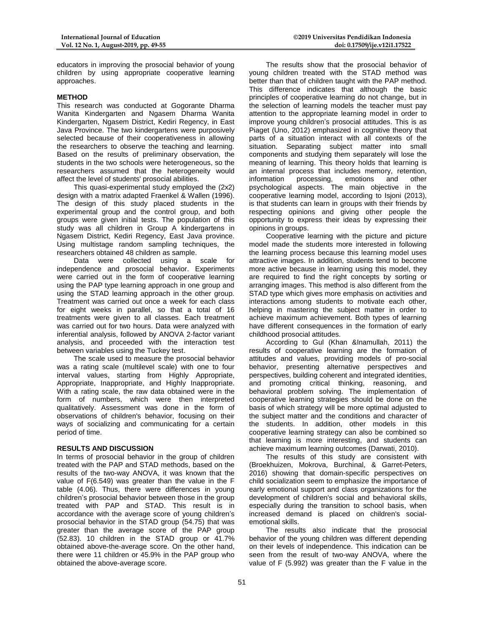educators in improving the prosocial behavior of young children by using appropriate cooperative learning approaches.

## **METHOD**

This research was conducted at Gogorante Dharma Wanita Kindergarten and Ngasem Dharma Wanita Kindergarten, Ngasem District, Kediri Regency, in East Java Province. The two kindergartens were purposively selected because of their cooperativeness in allowing the researchers to observe the teaching and learning. Based on the results of preliminary observation, the students in the two schools were heterogeneous, so the researchers assumed that the heterogeneity would affect the level of students' prosocial abilities.

This quasi-experimental study employed the (2x2) design with a matrix adapted Fraenkel & Wallen (1996). The design of this study placed students in the experimental group and the control group, and both groups were given initial tests. The population of this study was all children in Group A kindergartens in Ngasem District, Kediri Regency, East Java province. Using multistage random sampling techniques, the researchers obtained 48 children as sample.

Data were collected using a scale for independence and prosocial behavior. Experiments were carried out in the form of cooperative learning using the PAP type learning approach in one group and using the STAD learning approach in the other group. Treatment was carried out once a week for each class for eight weeks in parallel, so that a total of 16 treatments were given to all classes. Each treatment was carried out for two hours. Data were analyzed with inferential analysis, followed by ANOVA 2-factor variant analysis, and proceeded with the interaction test between variables using the Tuckey test.

The scale used to measure the prosocial behavior was a rating scale (multilevel scale) with one to four interval values, starting from Highly Appropriate, Appropriate, Inappropriate, and Highly Inappropriate. With a rating scale, the raw data obtained were in the form of numbers, which were then interpreted qualitatively. Assessment was done in the form of observations of children's behavior, focusing on their ways of socializing and communicating for a certain period of time.

## **RESULTS AND DISCUSSION**

In terms of prosocial behavior in the group of children treated with the PAP and STAD methods, based on the results of the two-way ANOVA, it was known that the value of F(6.549) was greater than the value in the F table (4.06). Thus, there were differences in young children's prosocial behavior between those in the group treated with PAP and STAD. This result is in accordance with the average score of young children's prosocial behavior in the STAD group (54.75) that was greater than the average score of the PAP group (52.83). 10 children in the STAD group or 41.7% obtained above-the-average score. On the other hand, there were 11 children or 45.9% in the PAP group who obtained the above-average score.

The results show that the prosocial behavior of young children treated with the STAD method was better than that of children taught with the PAP method. This difference indicates that although the basic principles of cooperative learning do not change, but in the selection of learning models the teacher must pay attention to the appropriate learning model in order to improve young children's prosocial attitudes. This is as Piaget (Uno, 2012) emphasized in cognitive theory that parts of a situation interact with all contexts of the situation. Separating subject matter into small components and studying them separately will lose the meaning of learning. This theory holds that learning is an internal process that includes memory, retention, information processing, emotions and other processing, emotions and other psychological aspects. The main objective in the cooperative learning model, according to Isjoni (2013), is that students can learn in groups with their friends by respecting opinions and giving other people the opportunity to express their ideas by expressing their opinions in groups.

Cooperative learning with the picture and picture model made the students more interested in following the learning process because this learning model uses attractive images. In addition, students tend to become more active because in learning using this model, they are required to find the right concepts by sorting or arranging images. This method is also different from the STAD type which gives more emphasis on activities and interactions among students to motivate each other, helping in mastering the subject matter in order to achieve maximum achievement. Both types of learning have different consequences in the formation of early childhood prosocial attitudes.

According to Gul (Khan &Inamullah, 2011) the results of cooperative learning are the formation of attitudes and values, providing models of pro-social behavior, presenting alternative perspectives and perspectives, building coherent and integrated identities, and promoting critical thinking, reasoning, and behavioral problem solving. The implementation of cooperative learning strategies should be done on the basis of which strategy will be more optimal adjusted to the subject matter and the conditions and character of the students. In addition, other models in this cooperative learning strategy can also be combined so that learning is more interesting, and students can achieve maximum learning outcomes (Darwati, 2010).

The results of this study are consistent with (Broekhuizen, Mokrova, Burchinal, & Garret-Peters, 2016) showing that domain-specific perspectives on child socialization seem to emphasize the importance of early emotional support and class organizations for the development of children's social and behavioral skills, especially during the transition to school basis, when increased demand is placed on children's socialemotional skills.

The results also indicate that the prosocial behavior of the young children was different depending on their levels of independence. This indication can be seen from the result of two-way ANOVA, where the value of F (5.992) was greater than the F value in the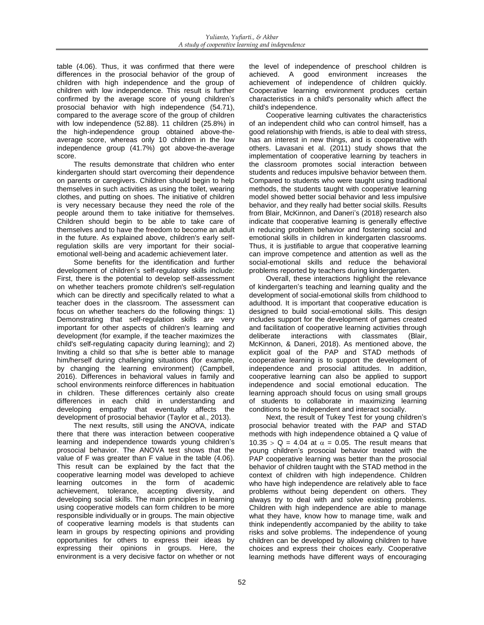table (4.06). Thus, it was confirmed that there were differences in the prosocial behavior of the group of children with high independence and the group of children with low independence. This result is further confirmed by the average score of young children's prosocial behavior with high independence (54.71), compared to the average score of the group of children with low independence (52.88). 11 children (25.8%) in the high-independence group obtained above-theaverage score, whereas only 10 children in the low independence group (41.7%) got above-the-average score.

The results demonstrate that children who enter kindergarten should start overcoming their dependence on parents or caregivers. Children should begin to help themselves in such activities as using the toilet, wearing clothes, and putting on shoes. The initiative of children is very necessary because they need the role of the people around them to take initiative for themselves. Children should begin to be able to take care of themselves and to have the freedom to become an adult in the future. As explained above, children's early selfregulation skills are very important for their socialemotional well-being and academic achievement later.

Some benefits for the identification and further development of children's self-regulatory skills include: First, there is the potential to develop self-assessment on whether teachers promote children's self-regulation which can be directly and specifically related to what a teacher does in the classroom. The assessment can focus on whether teachers do the following things: 1) Demonstrating that self-regulation skills are very important for other aspects of children's learning and development (for example, if the teacher maximizes the child's self-regulating capacity during learning); and 2) Inviting a child so that s/he is better able to manage him/herself during challenging situations (for example, by changing the learning environment) (Campbell, 2016). Differences in behavioral values in family and school environments reinforce differences in habituation in children. These differences certainly also create differences in each child in understanding and developing empathy that eventually affects the development of prosocial behavior (Taylor et al., 2013).

The next results, still using the ANOVA, indicate there that there was interaction between cooperative learning and independence towards young children's prosocial behavior. The ANOVA test shows that the value of F was greater than F value in the table (4.06). This result can be explained by the fact that the cooperative learning model was developed to achieve learning outcomes in the form of academic achievement, tolerance, accepting diversity, and developing social skills. The main principles in learning using cooperative models can form children to be more responsible individually or in groups. The main objective of cooperative learning models is that students can learn in groups by respecting opinions and providing opportunities for others to express their ideas by expressing their opinions in groups. Here, the environment is a very decisive factor on whether or not

the level of independence of preschool children is achieved. A good environment increases the achievement of independence of children quickly. Cooperative learning environment produces certain characteristics in a child's personality which affect the child's independence.

Cooperative learning cultivates the characteristics of an independent child who can control himself, has a good relationship with friends, is able to deal with stress, has an interest in new things, and is cooperative with others. Lavasani et al. (2011) study shows that the implementation of cooperative learning by teachers in the classroom promotes social interaction between students and reduces impulsive behavior between them. Compared to students who were taught using traditional methods, the students taught with cooperative learning model showed better social behavior and less impulsive behavior, and they really had better social skills. Results from Blair, McKinnon, and Daneri's (2018) research also indicate that cooperative learning is generally effective in reducing problem behavior and fostering social and emotional skills in children in kindergarten classrooms. Thus, it is justifiable to argue that cooperative learning can improve competence and attention as well as the social-emotional skills and reduce the behavioral problems reported by teachers during kindergarten.

Overall, these interactions highlight the relevance of kindergarten's teaching and learning quality and the development of social-emotional skills from childhood to adulthood. It is important that cooperative education is designed to build social-emotional skills. This design includes support for the development of games created and facilitation of cooperative learning activities through<br>deliberate interactions with classmates (Blair, interactions McKinnon, & Daneri, 2018). As mentioned above, the explicit goal of the PAP and STAD methods of cooperative learning is to support the development of independence and prosocial attitudes. In addition, cooperative learning can also be applied to support independence and social emotional education. The learning approach should focus on using small groups of students to collaborate in maximizing learning conditions to be independent and interact socially.

Next, the result of Tukey Test for young children's prosocial behavior treated with the PAP and STAD methods with high independence obtained a Q value of 10.35 > Q = 4.04 at  $\alpha$  = 0.05. The result means that young children's prosocial behavior treated with the PAP cooperative learning was better than the prosocial behavior of children taught with the STAD method in the context of children with high independence. Children who have high independence are relatively able to face problems without being dependent on others. They always try to deal with and solve existing problems. Children with high independence are able to manage what they have, know how to manage time, walk and think independently accompanied by the ability to take risks and solve problems. The independence of young children can be developed by allowing children to have choices and express their choices early. Cooperative learning methods have different ways of encouraging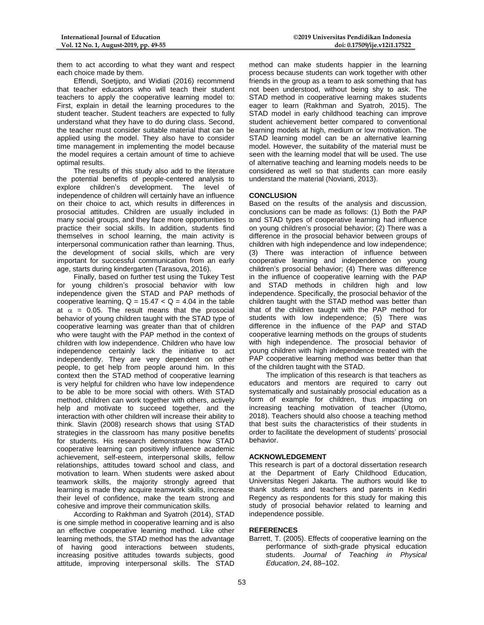them to act according to what they want and respect each choice made by them.

Effendi, Soetjipto, and Widiati (2016) recommend that teacher educators who will teach their student teachers to apply the cooperative learning model to: First, explain in detail the learning procedures to the student teacher. Student teachers are expected to fully understand what they have to do during class. Second, the teacher must consider suitable material that can be applied using the model. They also have to consider time management in implementing the model because the model requires a certain amount of time to achieve optimal results.

The results of this study also add to the literature the potential benefits of people-centered analysis to explore children's development. The level of independence of children will certainly have an influence on their choice to act, which results in differences in prosocial attitudes. Children are usually included in many social groups, and they face more opportunities to practice their social skills. In addition, students find themselves in school learning, the main activity is interpersonal communication rather than learning. Thus, the development of social skills, which are very important for successful communication from an early age, starts during kindergarten (Tarasova, 2016).

Finally, based on further test using the Tukey Test for young children's prosocial behavior with low independence given the STAD and PAP methods of cooperative learning,  $Q = 15.47 < Q = 4.04$  in the table at  $\alpha$  = 0.05. The result means that the prosocial behavior of young children taught with the STAD type of cooperative learning was greater than that of children who were taught with the PAP method in the context of children with low independence. Children who have low independence certainly lack the initiative to act independently. They are very dependent on other people, to get help from people around him. In this context then the STAD method of cooperative learning is very helpful for children who have low independence to be able to be more social with others. With STAD method, children can work together with others, actively help and motivate to succeed together, and the interaction with other children will increase their ability to think. Slavin (2008) research shows that using STAD strategies in the classroom has many positive benefits for students. His research demonstrates how STAD cooperative learning can positively influence academic achievement, self-esteem, interpersonal skills, fellow relationships, attitudes toward school and class, and motivation to learn. When students were asked about teamwork skills, the majority strongly agreed that learning is made they acquire teamwork skills, increase their level of confidence, make the team strong and cohesive and improve their communication skills.

According to Rakhman and Syatroh (2014), STAD is one simple method in cooperative learning and is also an effective cooperative learning method. Like other learning methods, the STAD method has the advantage of having good interactions between students, increasing positive attitudes towards subjects, good attitude, improving interpersonal skills. The STAD

method can make students happier in the learning process because students can work together with other friends in the group as a team to ask something that has not been understood, without being shy to ask. The STAD method in cooperative learning makes students eager to learn (Rakhman and Syatroh, 2015). The STAD model in early childhood teaching can improve student achievement better compared to conventional learning models at high, medium or low motivation. The STAD learning model can be an alternative learning model. However, the suitability of the material must be seen with the learning model that will be used. The use of alternative teaching and learning models needs to be considered as well so that students can more easily understand the material (Novianti, 2013).

## **CONCLUSION**

Based on the results of the analysis and discussion, conclusions can be made as follows: (1) Both the PAP and STAD types of cooperative learning had influence on young children's prosocial behavior; (2) There was a difference in the prosocial behavior between groups of children with high independence and low independence; (3) There was interaction of influence between cooperative learning and independence on young children's prosocial behavior; (4) There was difference in the influence of cooperative learning with the PAP and STAD methods in children high and low independence. Specifically, the prosocial behavior of the children taught with the STAD method was better than that of the children taught with the PAP method for students with low independence; (5) There was difference in the influence of the PAP and STAD cooperative learning methods on the groups of students with high independence. The prosocial behavior of young children with high independence treated with the PAP cooperative learning method was better than that of the children taught with the STAD.

The implication of this research is that teachers as educators and mentors are required to carry out systematically and sustainably prosocial education as a form of example for children, thus impacting on increasing teaching motivation of teacher (Utomo, 2018). Teachers should also choose a teaching method that best suits the characteristics of their students in order to facilitate the development of students' prosocial behavior.

## **ACKNOWLEDGEMENT**

This research is part of a doctoral dissertation research at the Department of Early Childhood Education, Universitas Negeri Jakarta. The authors would like to thank students and teachers and parents in Kediri Regency as respondents for this study for making this study of prosocial behavior related to learning and independence possible.

## **REFERENCES**

Barrett, T. (2005). Effects of cooperative learning on the performance of sixth-grade physical education students. *Journal of Teaching in Physical Education*, *24*, 88–102.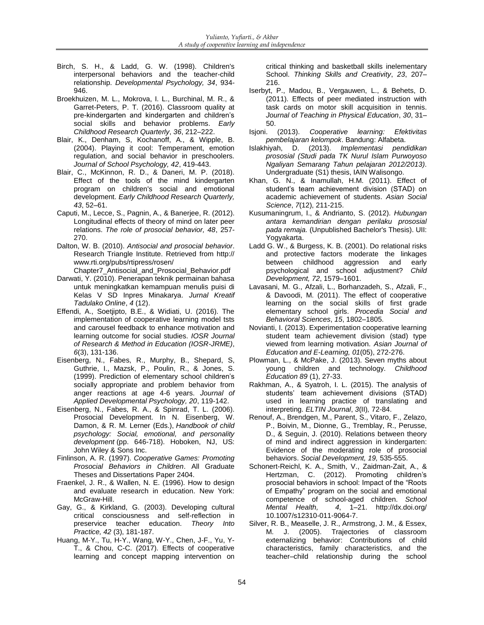- Birch, S. H., & Ladd, G. W. (1998). Children's interpersonal behaviors and the teacher-child relationship. *Developmental Psychology, 34*, 934- 946.
- Broekhuizen, M. L., Mokrova, I. L., Burchinal, M. R., & Garret-Peters, P. T. (2016). Classroom quality at pre-kindergarten and kindergarten and children's social skills and behavior problems. *Early Childhood Research Quarterly*, *36*, 212–222.
- Blair, K., Denham, S, Kochanoff, A., & Wipple, B. (2004). Playing it cool: Temperament, emotion regulation, and social behavior in preschoolers. *Journal of School Psychology, 42*, 419-443.
- Blair, C., McKinnon, R. D., & Daneri, M. P. (2018). Effect of the tools of the mind kindergarten program on children's social and emotional development. *Early Childhood Research Quarterly, 43*, 52–61.
- Caputi, M., Lecce, S., Pagnin, A., & Banerjee, R. (2012). Longitudinal effects of theory of mind on later peer relations. *The role of prosocial behavior, 48*, 257- 270.
- Dalton, W. B. (2010). *Antisocial and prosocial behavior*. Research Triangle Institute. Retrieved from http:// www.rti.org/pubs/rtipress/rosen/
- Chapter7\_Antisocial\_and\_Prosocial\_Behavior.pdf Darwati, Y. (2010). Penerapan teknik permainan bahasa untuk meningkatkan kemampuan menulis puisi di Kelas V SD Inpres Minakarya. *Jurnal Kreatif Tadulako Online*, *4* (12).
- Effendi, A., Soetjipto, B.E., & Widiati, U. (2016). The implementation of cooperative learning model tsts and carousel feedback to enhance motivation and learning outcome for social studies. *IOSR Journal of Research & Method in Education (IOSR-JRME)*, *6*(3), 131-136.
- Eisenberg, N., Fabes, R., Murphy, B., Shepard, S, Guthrie, I., Mazsk, P., Poulin, R., & Jones, S. (1999). Prediction of elementary school children's socially appropriate and problem behavior from anger reactions at age 4-6 years. *Journal of Applied Developmental Psychology, 20*, 119-142.
- Eisenberg, N., Fabes, R. A., & Spinrad, T. L. (2006). Prosocial Development. In N. Eisenberg, W. Damon, & R. M. Lerner (Eds.), *Handbook of child psychology: Social, emotional, and personality development* (pp. 646-718). Hoboken, NJ, US: John Wiley & Sons Inc.
- Finlinson, A. R. (1997). *Cooperative Games: Promoting Prosocial Behaviors in Children*. All Graduate Theses and Dissertations Paper 2404.
- Fraenkel, J. R., & Wallen, N. E. (1996). How to design and evaluate research in education. New York: McGraw-Hill.
- Gay, G., & Kirkland, G. (2003). Developing cultural critical consciousness and self-reflection in preservice teacher education. *Theory Into Practice, 42* (3), 181-187.
- Huang, M-Y., Tu, H-Y., Wang, W-Y., Chen, J-F., Yu, Y-T., & Chou, C-C. (2017). Effects of cooperative learning and concept mapping intervention on

critical thinking and basketball skills inelementary School. *Thinking Skills and Creativity*, *23*, 207– 216.

- Iserbyt, P., Madou, B., Vergauwen, L., & Behets, D. (2011). Effects of peer mediated instruction with task cards on motor skill acquisition in tennis. *Journal of Teaching in Physical Education*, *30*, 31– 50.
- Isjoni. (2013). *Cooperative learning: Efektivitas pembelajaran kelompok*. Bandung: Alfabeta.
- Islakhiyah, D. (2013). *Implementasi pendidikan prososial (Studi pada TK Nurul Islam Purwoyoso Ngaliyan Semarang Tahun pelajaran 2012/2013)*. Undergraduate (S1) thesis, IAIN Walisongo.
- Khan, G. N., & Inamullah, H.M. (2011). Effect of student's team achievement division (STAD) on academic achievement of students. *Asian Social Science*, *7*(12), 211-215.
- Kusumaningrum, I., & Andrianto, S. (2012). *Hubungan antara kemandirian dengan perilaku prososial pada remaja.* (Unpublished Bachelor's Thesis). UII: Yogyakarta.
- Ladd G. W., & Burgess, K. B. (2001). Do relational risks and protective factors moderate the linkages between childhood aggression and early psychological and school adjustment? *Child Development, 72*, 1579–1601.
- Lavasani, M. G., Afzali, L., Borhanzadeh, S., Afzali, F., & Davoodi, M. (2011). The effect of cooperative learning on the social skills of first grade elementary school girls. *Procedia Social and Behavioral Sciences*, *15*, 1802–1805.
- Novianti, I. (2013). Experimentation cooperative learning student team achievement division (stad) type viewed from learning motivation. *Asian Journal of Education and E-Learning, 01*(05), 272-276.
- Plowman, L., & McPake, J. (2013). Seven myths about young children and technology. *Childhood Education 89* (1), 27-33.
- Rakhman, A., & Syatroh, I. L. (2015). The analysis of students' team achievement divisions (STAD) used in learning practice of translating and interpreting. *ELTIN Journal*, *3*(II)*,* 72-84.
- Renouf, A., Brendgen, M., Parent, S., Vitaro, F., Zelazo, P., Boivin, M., Dionne, G., Tremblay, R., Perusse, D., & Seguin, J. (2010). Relations between theory of mind and indirect aggression in kindergarten: Evidence of the moderating role of prosocial behaviors. *Social Development, 19,* 535-555.
- Schonert-Reichl, K. A., Smith, V., Zaidman-Zait, A., & Hertzman, C. (2012). Promoting children's prosocial behaviors in school: Impact of the "Roots of Empathy" program on the social and emotional competence of school-aged children. *School Mental Health, 4*, 1–21. http://dx.doi.org/ 10.1007/s12310-011-9064-7.
- Silver, R. B., Measelle, J. R., Armstrong, J. M., & Essex, M. J. (2005). Trajectories of classroom externalizing behavior: Contributions of child characteristics, family characteristics, and the teacher–child relationship during the school